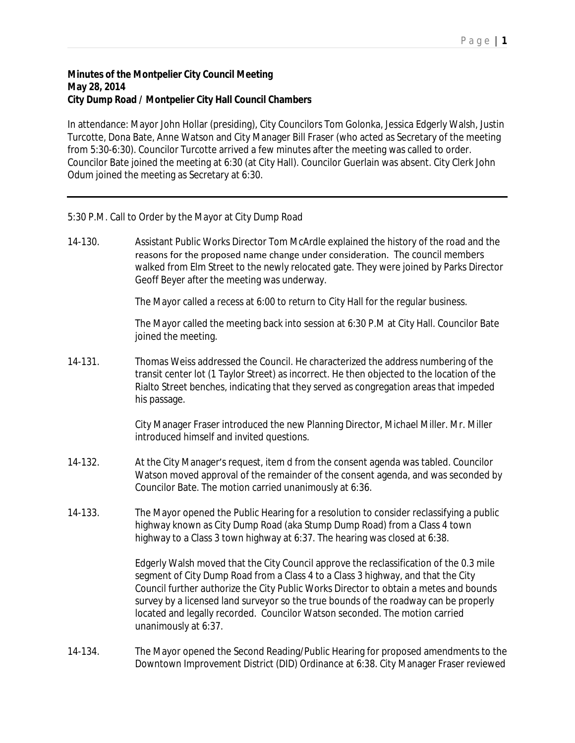## **Minutes of the Montpelier City Council Meeting May 28, 2014 City Dump Road / Montpelier City Hall Council Chambers**

In attendance: Mayor John Hollar (presiding), City Councilors Tom Golonka, Jessica Edgerly Walsh, Justin Turcotte, Dona Bate, Anne Watson and City Manager Bill Fraser (who acted as Secretary of the meeting from 5:30-6:30). Councilor Turcotte arrived a few minutes after the meeting was called to order. Councilor Bate joined the meeting at 6:30 (at City Hall). Councilor Guerlain was absent. City Clerk John Odum joined the meeting as Secretary at 6:30.

5:30 P.M. Call to Order by the Mayor at City Dump Road

14-130. Assistant Public Works Director Tom McArdle explained the history of the road and the reasons for the proposed name change under consideration. The council members walked from Elm Street to the newly relocated gate. They were joined by Parks Director Geoff Beyer after the meeting was underway.

The Mayor called a recess at 6:00 to return to City Hall for the regular business.

The Mayor called the meeting back into session at 6:30 P.M at City Hall. Councilor Bate joined the meeting.

14-131. Thomas Weiss addressed the Council. He characterized the address numbering of the transit center lot (1 Taylor Street) as incorrect. He then objected to the location of the Rialto Street benches, indicating that they served as congregation areas that impeded his passage.

> City Manager Fraser introduced the new Planning Director, Michael Miller. Mr. Miller introduced himself and invited questions.

- 14-132. At the City Manager's request, item d from the consent agenda was tabled. Councilor Watson moved approval of the remainder of the consent agenda, and was seconded by Councilor Bate. The motion carried unanimously at 6:36.
- 14-133. The Mayor opened the Public Hearing for a resolution to consider reclassifying a public highway known as City Dump Road (aka Stump Dump Road) from a Class 4 town highway to a Class 3 town highway at 6:37. The hearing was closed at 6:38.

Edgerly Walsh moved that the City Council approve the reclassification of the 0.3 mile segment of City Dump Road from a Class 4 to a Class 3 highway, and that the City Council further authorize the City Public Works Director to obtain a metes and bounds survey by a licensed land surveyor so the true bounds of the roadway can be properly located and legally recorded. Councilor Watson seconded. The motion carried unanimously at 6:37.

14-134. The Mayor opened the Second Reading/Public Hearing for proposed amendments to the Downtown Improvement District (DID) Ordinance at 6:38. City Manager Fraser reviewed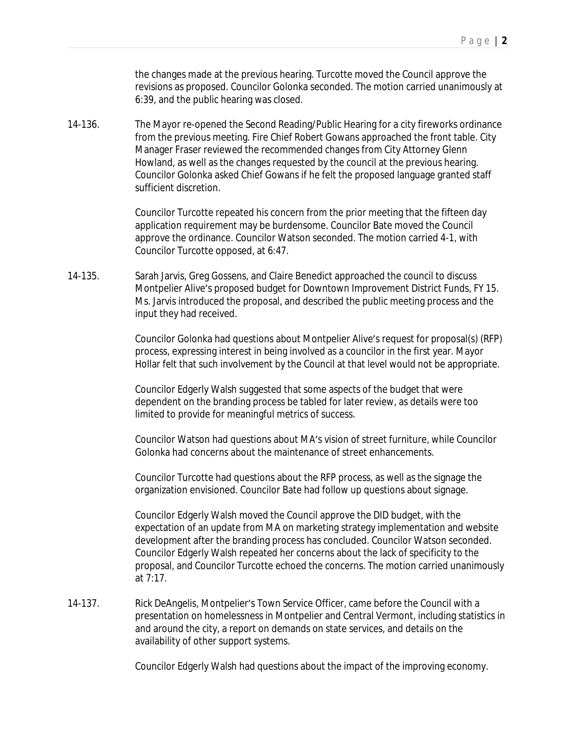the changes made at the previous hearing. Turcotte moved the Council approve the revisions as proposed. Councilor Golonka seconded. The motion carried unanimously at 6:39, and the public hearing was closed.

14-136. The Mayor re-opened the Second Reading/Public Hearing for a city fireworks ordinance from the previous meeting. Fire Chief Robert Gowans approached the front table. City Manager Fraser reviewed the recommended changes from City Attorney Glenn Howland, as well as the changes requested by the council at the previous hearing. Councilor Golonka asked Chief Gowans if he felt the proposed language granted staff sufficient discretion.

> Councilor Turcotte repeated his concern from the prior meeting that the fifteen day application requirement may be burdensome. Councilor Bate moved the Council approve the ordinance. Councilor Watson seconded. The motion carried 4-1, with Councilor Turcotte opposed, at 6:47.

14-135. Sarah Jarvis, Greg Gossens, and Claire Benedict approached the council to discuss Montpelier Alive's proposed budget for Downtown Improvement District Funds, FY 15. Ms. Jarvis introduced the proposal, and described the public meeting process and the input they had received.

> Councilor Golonka had questions about Montpelier Alive's request for proposal(s) (RFP) process, expressing interest in being involved as a councilor in the first year. Mayor Hollar felt that such involvement by the Council at that level would not be appropriate.

Councilor Edgerly Walsh suggested that some aspects of the budget that were dependent on the branding process be tabled for later review, as details were too limited to provide for meaningful metrics of success.

Councilor Watson had questions about MA's vision of street furniture, while Councilor Golonka had concerns about the maintenance of street enhancements.

Councilor Turcotte had questions about the RFP process, as well as the signage the organization envisioned. Councilor Bate had follow up questions about signage.

Councilor Edgerly Walsh moved the Council approve the DID budget, with the expectation of an update from MA on marketing strategy implementation and website development after the branding process has concluded. Councilor Watson seconded. Councilor Edgerly Walsh repeated her concerns about the lack of specificity to the proposal, and Councilor Turcotte echoed the concerns. The motion carried unanimously at 7:17.

14-137. Rick DeAngelis, Montpelier's Town Service Officer, came before the Council with a presentation on homelessness in Montpelier and Central Vermont, including statistics in and around the city, a report on demands on state services, and details on the availability of other support systems.

Councilor Edgerly Walsh had questions about the impact of the improving economy.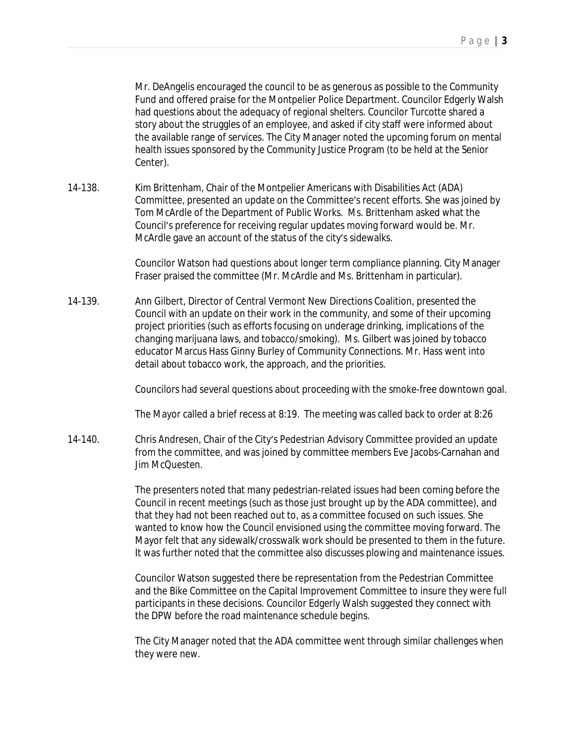Mr. DeAngelis encouraged the council to be as generous as possible to the Community Fund and offered praise for the Montpelier Police Department. Councilor Edgerly Walsh had questions about the adequacy of regional shelters. Councilor Turcotte shared a story about the struggles of an employee, and asked if city staff were informed about the available range of services. The City Manager noted the upcoming forum on mental health issues sponsored by the Community Justice Program (to be held at the Senior Center).

14-138. Kim Brittenham, Chair of the Montpelier Americans with Disabilities Act (ADA) Committee, presented an update on the Committee's recent efforts. She was joined by Tom McArdle of the Department of Public Works. Ms. Brittenham asked what the Council's preference for receiving regular updates moving forward would be. Mr. McArdle gave an account of the status of the city's sidewalks.

> Councilor Watson had questions about longer term compliance planning. City Manager Fraser praised the committee (Mr. McArdle and Ms. Brittenham in particular).

14-139. Ann Gilbert, Director of Central Vermont New Directions Coalition, presented the Council with an update on their work in the community, and some of their upcoming project priorities (such as efforts focusing on underage drinking, implications of the changing marijuana laws, and tobacco/smoking). Ms. Gilbert was joined by tobacco educator Marcus Hass Ginny Burley of Community Connections. Mr. Hass went into detail about tobacco work, the approach, and the priorities.

Councilors had several questions about proceeding with the smoke-free downtown goal.

The Mayor called a brief recess at 8:19. The meeting was called back to order at 8:26

14-140. Chris Andresen, Chair of the City's Pedestrian Advisory Committee provided an update from the committee, and was joined by committee members Eve Jacobs-Carnahan and Jim McQuesten.

> The presenters noted that many pedestrian-related issues had been coming before the Council in recent meetings (such as those just brought up by the ADA committee), and that they had not been reached out to, as a committee focused on such issues. She wanted to know how the Council envisioned using the committee moving forward. The Mayor felt that any sidewalk/crosswalk work should be presented to them in the future. It was further noted that the committee also discusses plowing and maintenance issues.

> Councilor Watson suggested there be representation from the Pedestrian Committee and the Bike Committee on the Capital Improvement Committee to insure they were full participants in these decisions. Councilor Edgerly Walsh suggested they connect with the DPW before the road maintenance schedule begins.

> The City Manager noted that the ADA committee went through similar challenges when they were new.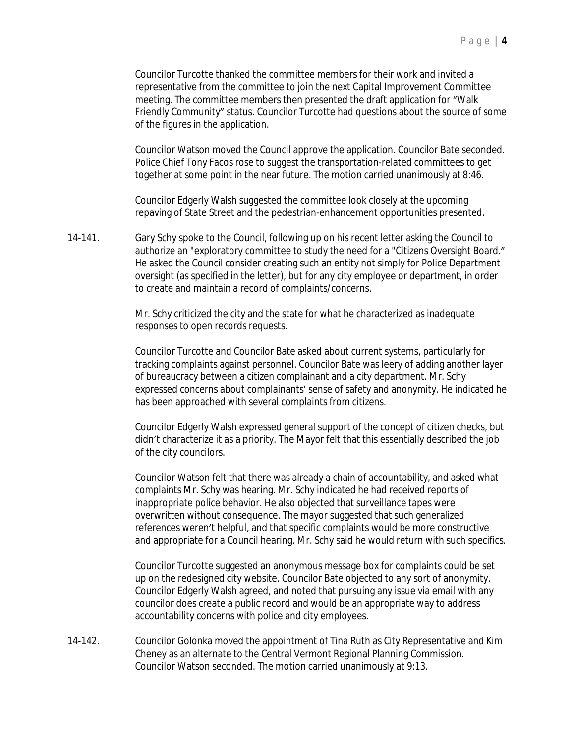Councilor Turcotte thanked the committee members for their work and invited a representative from the committee to join the next Capital Improvement Committee meeting. The committee members then presented the draft application for "Walk Friendly Community" status. Councilor Turcotte had questions about the source of some of the figures in the application.

Councilor Watson moved the Council approve the application. Councilor Bate seconded. Police Chief Tony Facos rose to suggest the transportation-related committees to get together at some point in the near future. The motion carried unanimously at 8:46.

Councilor Edgerly Walsh suggested the committee look closely at the upcoming repaving of State Street and the pedestrian-enhancement opportunities presented.

14-141. Gary Schy spoke to the Council, following up on his recent letter asking the Council to authorize an "exploratory committee to study the need for a "Citizens Oversight Board." He asked the Council consider creating such an entity not simply for Police Department oversight (as specified in the letter), but for any city employee or department, in order to create and maintain a record of complaints/concerns.

> Mr. Schy criticized the city and the state for what he characterized as inadequate responses to open records requests.

Councilor Turcotte and Councilor Bate asked about current systems, particularly for tracking complaints against personnel. Councilor Bate was leery of adding another layer of bureaucracy between a citizen complainant and a city department. Mr. Schy expressed concerns about complainants' sense of safety and anonymity. He indicated he has been approached with several complaints from citizens.

Councilor Edgerly Walsh expressed general support of the concept of citizen checks, but didn't characterize it as a priority. The Mayor felt that this essentially described the job of the city councilors.

Councilor Watson felt that there was already a chain of accountability, and asked what complaints Mr. Schy was hearing. Mr. Schy indicated he had received reports of inappropriate police behavior. He also objected that surveillance tapes were overwritten without consequence. The mayor suggested that such generalized references weren't helpful, and that specific complaints would be more constructive and appropriate for a Council hearing. Mr. Schy said he would return with such specifics.

Councilor Turcotte suggested an anonymous message box for complaints could be set up on the redesigned city website. Councilor Bate objected to any sort of anonymity. Councilor Edgerly Walsh agreed, and noted that pursuing any issue via email with any councilor does create a public record and would be an appropriate way to address accountability concerns with police and city employees.

14-142. Councilor Golonka moved the appointment of Tina Ruth as City Representative and Kim Cheney as an alternate to the Central Vermont Regional Planning Commission. Councilor Watson seconded. The motion carried unanimously at 9:13.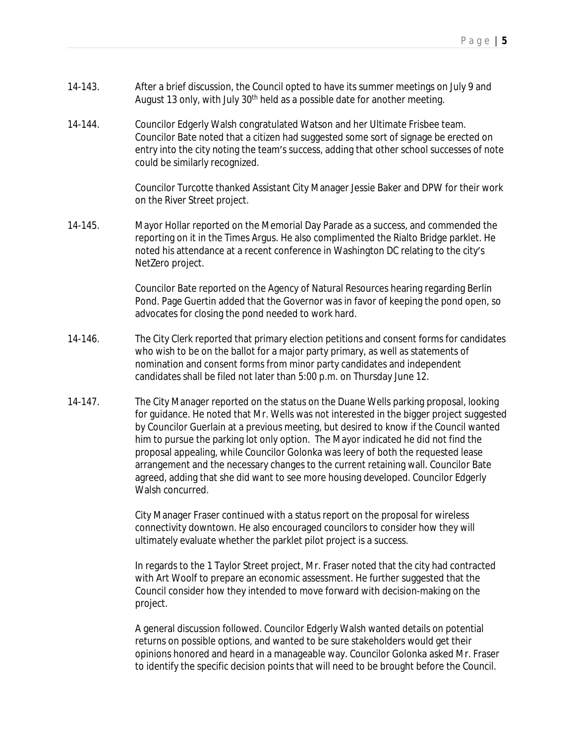- 14-143. After a brief discussion, the Council opted to have its summer meetings on July 9 and August 13 only, with July  $30<sup>th</sup>$  held as a possible date for another meeting.
- 14-144. Councilor Edgerly Walsh congratulated Watson and her Ultimate Frisbee team. Councilor Bate noted that a citizen had suggested some sort of signage be erected on entry into the city noting the team's success, adding that other school successes of note could be similarly recognized.

Councilor Turcotte thanked Assistant City Manager Jessie Baker and DPW for their work on the River Street project.

14-145. Mayor Hollar reported on the Memorial Day Parade as a success, and commended the reporting on it in the Times Argus. He also complimented the Rialto Bridge parklet. He noted his attendance at a recent conference in Washington DC relating to the city's NetZero project.

> Councilor Bate reported on the Agency of Natural Resources hearing regarding Berlin Pond. Page Guertin added that the Governor was in favor of keeping the pond open, so advocates for closing the pond needed to work hard.

- 14-146. The City Clerk reported that primary election petitions and consent forms for candidates who wish to be on the ballot for a major party primary, as well as statements of nomination and consent forms from minor party candidates and independent candidates shall be filed not later than 5:00 p.m. on Thursday June 12.
- 14-147. The City Manager reported on the status on the Duane Wells parking proposal, looking for guidance. He noted that Mr. Wells was not interested in the bigger project suggested by Councilor Guerlain at a previous meeting, but desired to know if the Council wanted him to pursue the parking lot only option. The Mayor indicated he did not find the proposal appealing, while Councilor Golonka was leery of both the requested lease arrangement and the necessary changes to the current retaining wall. Councilor Bate agreed, adding that she did want to see more housing developed. Councilor Edgerly Walsh concurred.

City Manager Fraser continued with a status report on the proposal for wireless connectivity downtown. He also encouraged councilors to consider how they will ultimately evaluate whether the parklet pilot project is a success.

In regards to the 1 Taylor Street project, Mr. Fraser noted that the city had contracted with Art Woolf to prepare an economic assessment. He further suggested that the Council consider how they intended to move forward with decision-making on the project.

A general discussion followed. Councilor Edgerly Walsh wanted details on potential returns on possible options, and wanted to be sure stakeholders would get their opinions honored and heard in a manageable way. Councilor Golonka asked Mr. Fraser to identify the specific decision points that will need to be brought before the Council.